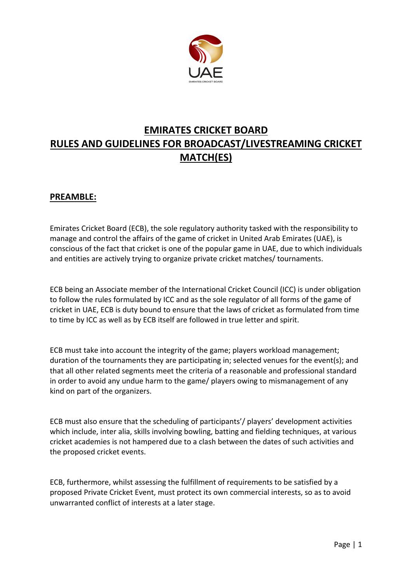

# **EMIRATES CRICKET BOARD RULES AND GUIDELINES FOR BROADCAST/LIVESTREAMING CRICKET MATCH(ES)**

### **PREAMBLE:**

Emirates Cricket Board (ECB), the sole regulatory authority tasked with the responsibility to manage and control the affairs of the game of cricket in United Arab Emirates (UAE), is conscious of the fact that cricket is one of the popular game in UAE, due to which individuals and entities are actively trying to organize private cricket matches/ tournaments.

ECB being an Associate member of the International Cricket Council (ICC) is under obligation to follow the rules formulated by ICC and as the sole regulator of all forms of the game of cricket in UAE, ECB is duty bound to ensure that the laws of cricket as formulated from time to time by ICC as well as by ECB itself are followed in true letter and spirit.

ECB must take into account the integrity of the game; players workload management; duration of the tournaments they are participating in; selected venues for the event(s); and that all other related segments meet the criteria of a reasonable and professional standard in order to avoid any undue harm to the game/ players owing to mismanagement of any kind on part of the organizers.

ECB must also ensure that the scheduling of participants'/ players' development activities which include, inter alia, skills involving bowling, batting and fielding techniques, at various cricket academies is not hampered due to a clash between the dates of such activities and the proposed cricket events.

ECB, furthermore, whilst assessing the fulfillment of requirements to be satisfied by a proposed Private Cricket Event, must protect its own commercial interests, so as to avoid unwarranted conflict of interests at a later stage.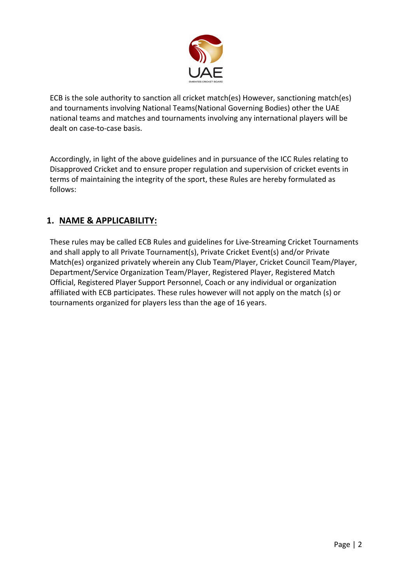

ECB is the sole authority to sanction all cricket match(es) However, sanctioning match(es) and tournaments involving National Teams(National Governing Bodies) other the UAE national teams and matches and tournaments involving any international players will be dealt on case-to-case basis.

Accordingly, in light of the above guidelines and in pursuance of the ICC Rules relating to Disapproved Cricket and to ensure proper regulation and supervision of cricket events in terms of maintaining the integrity of the sport, these Rules are hereby formulated as follows:

# **1. NAME & APPLICABILITY:**

These rules may be called ECB Rules and guidelines for Live-Streaming Cricket Tournaments and shall apply to all Private Tournament(s), Private Cricket Event(s) and/or Private Match(es) organized privately wherein any Club Team/Player, Cricket Council Team/Player, Department/Service Organization Team/Player, Registered Player, Registered Match Official, Registered Player Support Personnel, Coach or any individual or organization affiliated with ECB participates. These rules however will not apply on the match (s) or tournaments organized for players less than the age of 16 years.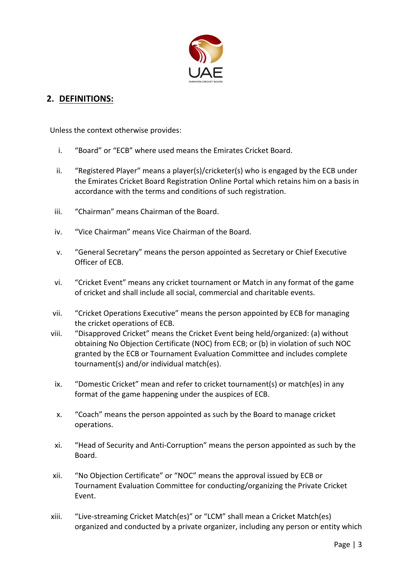

# **2. DEFINITIONS:**

Unless the context otherwise provides:

- i. "Board" or "ECB" where used means the Emirates Cricket Board.
- ii. "Registered Player" means a player(s)/cricketer(s) who is engaged by the ECB under the Emirates Cricket Board Registration Online Portal which retains him on a basis in accordance with the terms and conditions of such registration.
- iii. "Chairman" means Chairman of the Board.
- iv. "Vice Chairman" means Vice Chairman of the Board.
- v. "General Secretary" means the person appointed as Secretary or Chief Executive Officer of ECB.
- vi. "Cricket Event" means any cricket tournament or Match in any format of the game of cricket and shall include all social, commercial and charitable events.
- vii. "Cricket Operations Executive" means the person appointed by ECB for managing the cricket operations of ECB.
- viii. "Disapproved Cricket" means the Cricket Event being held/organized: (a) without obtaining No Objection Certificate (NOC) from ECB; or (b) in violation of such NOC granted by the ECB or Tournament Evaluation Committee and includes complete tournament(s) and/or individual match(es).
- ix. "Domestic Cricket" mean and refer to cricket tournament(s) or match(es) in any format of the game happening under the auspices of ECB.
- x. "Coach" means the person appointed as such by the Board to manage cricket operations.
- xi. "Head of Security and Anti-Corruption" means the person appointed as such by the Board.
- xii. "No Objection Certificate" or "NOC" means the approval issued by ECB or Tournament Evaluation Committee for conducting/organizing the Private Cricket Event.
- xiii. "Live-streaming Cricket Match(es)" or "LCM" shall mean a Cricket Match(es) organized and conducted by a private organizer, including any person or entity which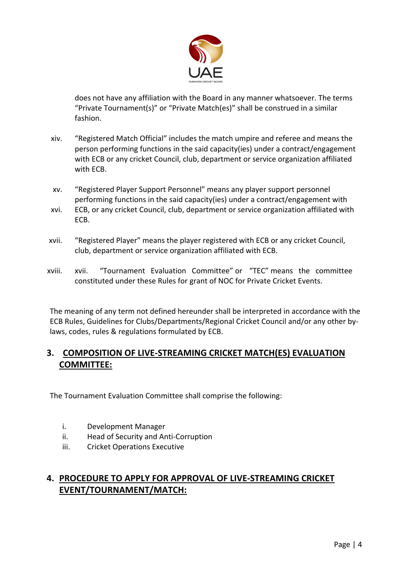

does not have any affiliation with the Board in any manner whatsoever. The terms "Private Tournament(s)" or "Private Match(es)" shall be construed in a similar fashion.

- xiv. "Registered Match Official" includes the match umpire and referee and means the person performing functions in the said capacity(ies) under a contract/engagement with ECB or any cricket Council, club, department or service organization affiliated with ECB.
- xv. "Registered Player Support Personnel" means any player support personnel performing functions in the said capacity(ies) under a contract/engagement with
- xvi. ECB, or any cricket Council, club, department or service organization affiliated with ECB.
- xvii. "Registered Player" means the player registered with ECB or any cricket Council, club, department or service organization affiliated with ECB.
- xviii. xvii. "Tournament Evaluation Committee" or "TEC" means the committee constituted under these Rules for grant of NOC for Private Cricket Events.

The meaning of any term not defined hereunder shall be interpreted in accordance with the ECB Rules, Guidelines for Clubs/Departments/Regional Cricket Council and/or any other bylaws, codes, rules & regulations formulated by ECB.

# **3. COMPOSITION OF LIVE-STREAMING CRICKET MATCH(ES) EVALUATION COMMITTEE:**

The Tournament Evaluation Committee shall comprise the following:

- i. Development Manager
- ii. Head of Security and Anti-Corruption
- iii. Cricket Operations Executive

# **4. PROCEDURE TO APPLY FOR APPROVAL OF LIVE-STREAMING CRICKET EVENT/TOURNAMENT/MATCH:**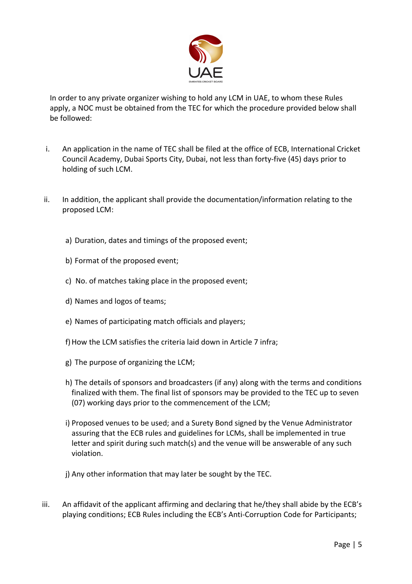

In order to any private organizer wishing to hold any LCM in UAE, to whom these Rules apply, a NOC must be obtained from the TEC for which the procedure provided below shall be followed:

- i. An application in the name of TEC shall be filed at the office of ECB, International Cricket Council Academy, Dubai Sports City, Dubai, not less than forty-five (45) days prior to holding of such LCM.
- ii. In addition, the applicant shall provide the documentation/information relating to the proposed LCM:
	- a) Duration, dates and timings of the proposed event;
	- b) Format of the proposed event;
	- c) No. of matches taking place in the proposed event;
	- d) Names and logos of teams;
	- e) Names of participating match officials and players;
	- f) How the LCM satisfies the criteria laid down in Article 7 infra;
	- g) The purpose of organizing the LCM;
	- h) The details of sponsors and broadcasters (if any) along with the terms and conditions finalized with them. The final list of sponsors may be provided to the TEC up to seven (07) working days prior to the commencement of the LCM;
	- i) Proposed venues to be used; and a Surety Bond signed by the Venue Administrator assuring that the ECB rules and guidelines for LCMs, shall be implemented in true letter and spirit during such match(s) and the venue will be answerable of any such violation.
	- j) Any other information that may later be sought by the TEC.
- iii. An affidavit of the applicant affirming and declaring that he/they shall abide by the ECB's playing conditions; ECB Rules including the ECB's Anti-Corruption Code for Participants;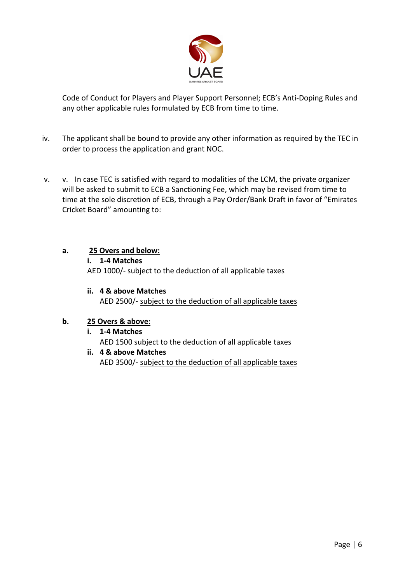

Code of Conduct for Players and Player Support Personnel; ECB's Anti-Doping Rules and any other applicable rules formulated by ECB from time to time.

- iv. The applicant shall be bound to provide any other information as required by the TEC in order to process the application and grant NOC.
- v. v. In case TEC is satisfied with regard to modalities of the LCM, the private organizer will be asked to submit to ECB a Sanctioning Fee, which may be revised from time to time at the sole discretion of ECB, through a Pay Order/Bank Draft in favor of "Emirates Cricket Board" amounting to:

#### **a. 25 Overs and below:**

**i. 1-4 Matches**

AED 1000/- subject to the deduction of all applicable taxes

**ii. 4 & above Matches**  AED 2500/- subject to the deduction of all applicable taxes

#### **b. 25 Overs & above:**

- **i. 1-4 Matches**  AED 1500 subject to the deduction of all applicable taxes
- **ii. 4 & above Matches** AED 3500/- subject to the deduction of all applicable taxes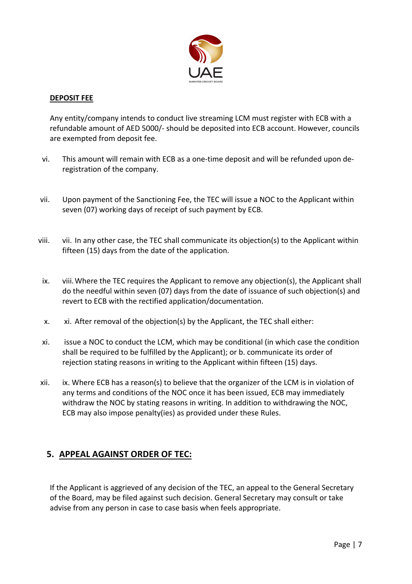

#### **DEPOSIT FEE**

Any entity/company intends to conduct live streaming LCM must register with ECB with a refundable amount of AED 5000/- should be deposited into ECB account. However, councils are exempted from deposit fee.

- vi. This amount will remain with ECB as a one-time deposit and will be refunded upon deregistration of the company.
- vii. Upon payment of the Sanctioning Fee, the TEC will issue a NOC to the Applicant within seven (07) working days of receipt of such payment by ECB.
- viii. vii. In any other case, the TEC shall communicate its objection(s) to the Applicant within fifteen (15) days from the date of the application.
- ix. viii.Where the TEC requires the Applicant to remove any objection(s), the Applicant shall do the needful within seven (07) days from the date of issuance of such objection(s) and revert to ECB with the rectified application/documentation.
- x. xi. After removal of the objection(s) by the Applicant, the TEC shall either:
- xi. issue a NOC to conduct the LCM, which may be conditional (in which case the condition shall be required to be fulfilled by the Applicant); or b. communicate its order of rejection stating reasons in writing to the Applicant within fifteen (15) days.
- xii. ix. Where ECB has a reason(s) to believe that the organizer of the LCM is in violation of any terms and conditions of the NOC once it has been issued, ECB may immediately withdraw the NOC by stating reasons in writing. In addition to withdrawing the NOC, ECB may also impose penalty(ies) as provided under these Rules.

### **5. APPEAL AGAINST ORDER OF TEC:**

If the Applicant is aggrieved of any decision of the TEC, an appeal to the General Secretary of the Board, may be filed against such decision. General Secretary may consult or take advise from any person in case to case basis when feels appropriate.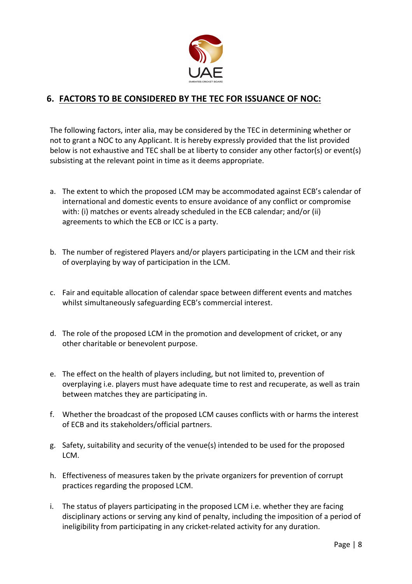

### **6. FACTORS TO BE CONSIDERED BY THE TEC FOR ISSUANCE OF NOC:**

The following factors, inter alia, may be considered by the TEC in determining whether or not to grant a NOC to any Applicant. It is hereby expressly provided that the list provided below is not exhaustive and TEC shall be at liberty to consider any other factor(s) or event(s) subsisting at the relevant point in time as it deems appropriate.

- a. The extent to which the proposed LCM may be accommodated against ECB's calendar of international and domestic events to ensure avoidance of any conflict or compromise with: (i) matches or events already scheduled in the ECB calendar; and/or (ii) agreements to which the ECB or ICC is a party.
- b. The number of registered Players and/or players participating in the LCM and their risk of overplaying by way of participation in the LCM.
- c. Fair and equitable allocation of calendar space between different events and matches whilst simultaneously safeguarding ECB's commercial interest.
- d. The role of the proposed LCM in the promotion and development of cricket, or any other charitable or benevolent purpose.
- e. The effect on the health of players including, but not limited to, prevention of overplaying i.e. players must have adequate time to rest and recuperate, as well as train between matches they are participating in.
- f. Whether the broadcast of the proposed LCM causes conflicts with or harms the interest of ECB and its stakeholders/official partners.
- g. Safety, suitability and security of the venue(s) intended to be used for the proposed LCM.
- h. Effectiveness of measures taken by the private organizers for prevention of corrupt practices regarding the proposed LCM.
- i. The status of players participating in the proposed LCM i.e. whether they are facing disciplinary actions or serving any kind of penalty, including the imposition of a period of ineligibility from participating in any cricket-related activity for any duration.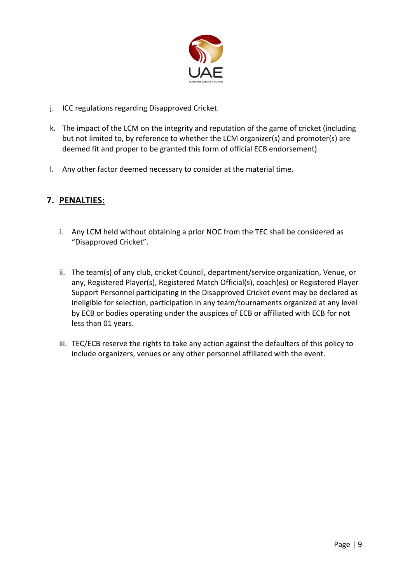

- j. ICC regulations regarding Disapproved Cricket.
- k. The impact of the LCM on the integrity and reputation of the game of cricket (including but not limited to, by reference to whether the LCM organizer(s) and promoter(s) are deemed fit and proper to be granted this form of official ECB endorsement).
- l. Any other factor deemed necessary to consider at the material time.

# **7. PENALTIES:**

- i. Any LCM held without obtaining a prior NOC from the TEC shall be considered as "Disapproved Cricket".
- ii. The team(s) of any club, cricket Council, department/service organization, Venue, or any, Registered Player(s), Registered Match Official(s), coach(es) or Registered Player Support Personnel participating in the Disapproved Cricket event may be declared as ineligible for selection, participation in any team/tournaments organized at any level by ECB or bodies operating under the auspices of ECB or affiliated with ECB for not less than 01 years.
- iii. TEC/ECB reserve the rights to take any action against the defaulters of this policy to include organizers, venues or any other personnel affiliated with the event.